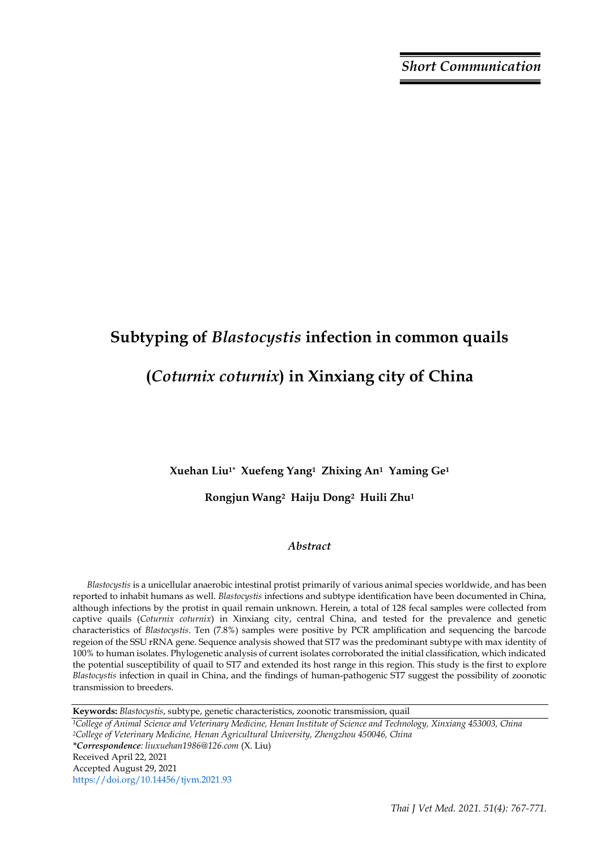# **Subtyping of** *Blastocystis* **infection in common quails (***Coturnix coturnix***) in Xinxiang city of China**

**Xuehan Liu1\* Xuefeng Yang1 Zhixing An1 Yaming Ge<sup>1</sup>** 

**Rongjun Wang2 Haiju Dong2 Huili Zhu<sup>1</sup>**

## *Abstract*

*Blastocystis* is a unicellular anaerobic intestinal protist primarily of various animal species worldwide, and has been reported to inhabit humans as well. *Blastocystis* infections and subtype identification have been documented in China, although infections by the protist in quail remain unknown. Herein, a total of 128 fecal samples were collected from captive quails (*Coturnix coturnix*) in Xinxiang city, central China, and tested for the prevalence and genetic characteristics of *Blastocystis*. Ten (7.8%) samples were positive by PCR amplification and sequencing the barcode regeion of the SSU rRNA gene. Sequence analysis showed that ST7 was the predominant subtype with max identity of 100% to human isolates. Phylogenetic analysis of current isolates corroborated the initial classification, which indicated the potential susceptibility of quail to ST7 and extended its host range in this region. This study is the first to explore *Blastocystis* infection in quail in China, and the findings of human-pathogenic ST7 suggest the possibility of zoonotic transmission to breeders.

**Keywords:** *Blastocystis*, subtype, genetic characteristics, zoonotic transmission, quail

*<sup>1</sup>College of Animal Science and Veterinary Medicine, Henan Institute of Science and Technology, Xinxiang 453003, China <sup>2</sup>College of Veterinary Medicine, Henan Agricultural University, Zhengzhou 450046, China \*Correspondence: liuxuehan1986@126.com* (X. Liu) Received April 22, 2021 Accepted August 29, 2021 https://doi.org/10.14456/tjvm.2021.93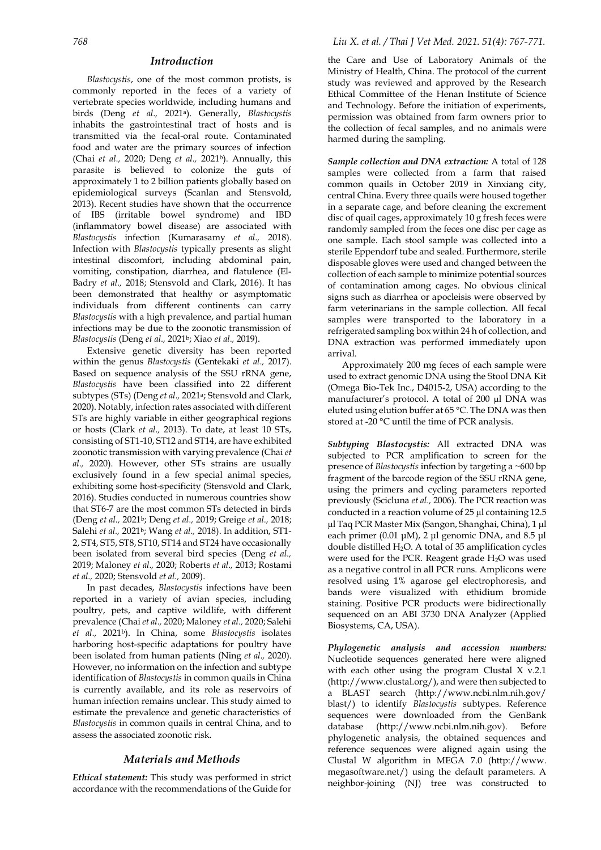#### *Introduction*

*Blastocystis*, one of the most common protists, is commonly reported in the feces of a variety of vertebrate species worldwide, including humans and birds (Deng *[et al.,](#page-3-0)* 2021a). Generally, *Blastocystis*  inhabits the gastrointestinal tract of hosts and is transmitted via the fecal-oral route. Contaminated food and water are the primary sources of infection (Chai *[et al.,](#page-3-1)* 2020; [Deng](#page-3-2) *et al.,* 2021b). Annually, this parasite is believed to colonize the guts of approximately 1 to 2 billion patients globally based on epidemiological surveys [\(Scanlan and Stensvold,](#page-4-0)  [2013\)](#page-4-0). Recent studies have shown that the occurrence of IBS (irritable bowel syndrome) and IBD (inflammatory bowel disease) are associated with *Blastocystis* infection [\(Kumarasamy](#page-4-1) *et al.,* 2018). Infection with *Blastocystis* typically presents as slight intestinal discomfort, including abdominal pain, vomiting, constipation, diarrhea, and flatulence [\(El-](#page-3-3)[Badry](#page-3-3) *et al.,* 2018; [Stensvold and Clark, 2016\)](#page-4-2). It has been demonstrated that healthy or asymptomatic individuals from different continents can carry *Blastocystis* with a high prevalence, and partial human infections may be due to the zoonotic transmission of *Blastocystis* [\(Deng](#page-3-2) *et al.,* 2021b; Xiao *et al.,* [2019\)](#page-4-3).

Extensive genetic diversity has been reported within the genus *Blastocystis* [\(Gentekaki](#page-3-4) *et al.,* 2017). Based on sequence analysis of the SSU rRNA gene, *Blastocystis* have been classified into 22 different subtypes (STs) [\(Deng](#page-3-0) *et al.,* 2021a[; Stensvold and Clark,](#page-4-4)  [2020\)](#page-4-4). Notably, infection rates associated with different STs are highly variable in either geographical regions or hosts [\(Clark](#page-3-5) *et al.,* 2013). To date, at least 10 STs, consisting of ST1-10, ST12 and ST14, are have exhibited zoonotic transmission with varying prevalence [\(Chai](#page-3-1) *et al.,* [2020\)](#page-3-1). However, other STs strains are usually exclusively found in a few special animal species, exhibiting some host-specificity [\(Stensvold and Clark,](#page-4-2)  [2016\)](#page-4-2). Studies conducted in numerous countries show that ST6-7 are the most common STs detected in birds [\(Deng](#page-3-2) *et al.,* 2021b[; Deng](#page-3-6) *et al.,* 2019; [Greige](#page-4-5) *et al.,* 2018; [Salehi](#page-4-6) *et al.,* 2021b; [Wang](#page-4-7) *et al.,* 2018). In addition, ST1- 2, ST4, ST5, ST8, ST10, ST14 and ST24 have occasionally been isolated from several bird species [\(Deng](#page-3-6) *et al.,* [2019;](#page-3-6) [Maloney](#page-4-8) *et al.,* 2020[; Roberts](#page-4-9) *et al.,* 2013; [Rostami](#page-4-10) *et al.,* [2020;](#page-4-10) [Stensvold](#page-4-11) *et al.,* 2009).

In past decades, *Blastocystis* infections have been reported in a variety of avian species, including poultry, pets, and captive wildlife, with different prevalence [\(Chai](#page-3-1) *et al.,* 2020[; Maloney](#page-4-8) *et al.,* 2020[; Salehi](#page-4-6) *[et al.,](#page-4-6)* 2021b). In China, some *Blastocystis* isolates harboring host-specific adaptations for poultry have been isolated from human patients [\(Ning](#page-4-12) *et al.,* 2020). However, no information on the infection and subtype identification of *Blastocystis* in common quails in China is currently available, and its role as reservoirs of human infection remains unclear. This study aimed to estimate the prevalence and genetic characteristics of *Blastocystis* in common quails in central China, and to assess the associated zoonotic risk.

## *Materials and Methods*

*Ethical statement:* This study was performed in strict accordance with the recommendations of the Guide for

the Care and Use of Laboratory Animals of the Ministry of Health, China. The protocol of the current study was reviewed and approved by the Research Ethical Committee of the Henan Institute of Science and Technology. Before the initiation of experiments, permission was obtained from farm owners prior to the collection of fecal samples, and no animals were harmed during the sampling.

*Sample collection and DNA extraction:* A total of 128 samples were collected from a farm that raised common quails in October 2019 in Xinxiang city, central China. Every three quails were housed together in a separate cage, and before cleaning the excrement disc of quail cages, approximately 10 g fresh feces were randomly sampled from the feces one disc per cage as one sample. Each stool sample was collected into a sterile Eppendorf tube and sealed. Furthermore, sterile disposable gloves were used and changed between the collection of each sample to minimize potential sources of contamination among cages. No obvious clinical signs such as diarrhea or apocleisis were observed by farm veterinarians in the sample collection. All fecal samples were transported to the laboratory in a refrigerated sampling box within 24 h of collection, and DNA extraction was performed immediately upon arrival.

Approximately 200 mg feces of each sample were used to extract genomic DNA using the Stool DNA Kit (Omega Bio-Tek Inc., D4015-2, USA) according to the manufacturer's protocol. A total of 200 µl DNA was eluted using elution buffer at 65 °C. The DNA was then stored at -20 °C until the time of PCR analysis.

*Subtyping Blastocystis:* All extracted DNA was subjected to PCR amplification to screen for the presence of *Blastocystis* infection by targeting a ~600 bp fragment of the barcode region of the SSU rRNA gene, using the primers and cycling parameters reported previously [\(Scicluna](#page-4-13) *et al.,* 2006). The PCR reaction was conducted in a reaction volume of  $25 \mu$  containing  $12.5 \mu$ µl Taq PCR Master Mix (Sangon, Shanghai, China), 1 µl each primer (0.01 μM), 2 μl genomic DNA, and 8.5 μl double distilled  $H_2O$ . A total of 35 amplification cycles were used for the PCR. Reagent grade H2O was used as a negative control in all PCR runs. Amplicons were resolved using 1% agarose gel electrophoresis, and bands were visualized with ethidium bromide staining. Positive PCR products were bidirectionally sequenced on an ABI 3730 DNA Analyzer (Applied Biosystems, CA, USA).

*Phylogenetic analysis and accession numbers:* Nucleotide sequences generated here were aligned with each other using the program Clustal X v.2.1 [\(http://www.clustal.org/\)](http://www.clustal.org/), and were then subjected to a BLAST search [\(http://www.ncbi.nlm.nih.gov/](http://www.ncbi.nlm.nih.gov/blast/) [blast/\)](http://www.ncbi.nlm.nih.gov/blast/) to identify *Blastocystis* subtypes. Reference sequences were downloaded from the GenBank database [\(http://www.ncbi.nlm.nih.gov\)](http://www.ncbi.nlm.nih.gov/). Before phylogenetic analysis, the obtained sequences and reference sequences were aligned again using the Clustal W algorithm in MEGA 7.0 [\(http://www.](http://www.megasoftware.net/) [megasoftware.net/\)](http://www.megasoftware.net/) using the default parameters. A neighbor-joining (NJ) tree was constructed to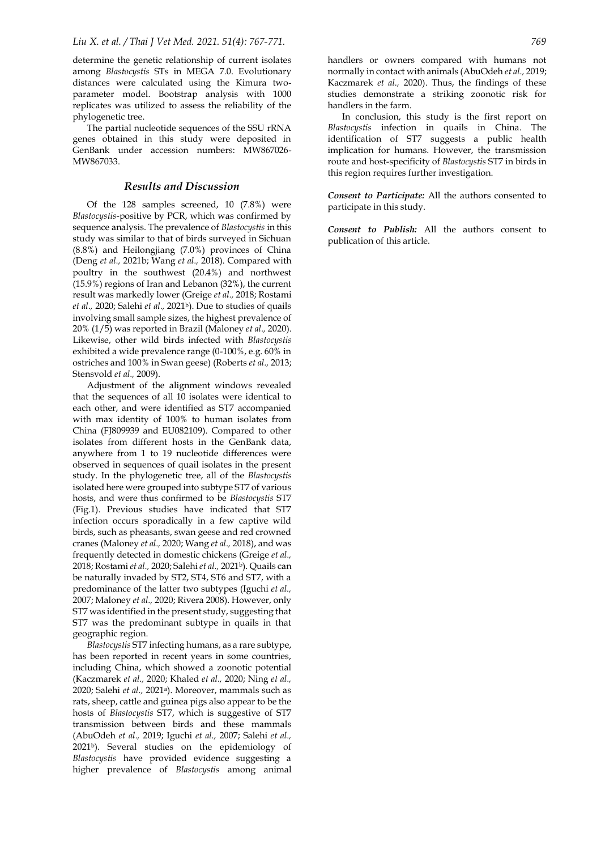determine the genetic relationship of current isolates among *Blastocystis* STs in MEGA 7.0. Evolutionary distances were calculated using the Kimura twoparameter model. Bootstrap analysis with 1000 replicates was utilized to assess the reliability of the phylogenetic tree.

The partial nucleotide sequences of the SSU rRNA genes obtained in this study were deposited in GenBank under accession numbers: MW867026- MW867033.

## *Results and Discussion*

Of the 128 samples screened, 10 (7.8%) were *Blastocystis*-positive by PCR, which was confirmed by sequence analysis. The prevalence of *Blastocystis* in this study was similar to that of birds surveyed in Sichuan (8.8%) and Heilongjiang (7.0%) provinces of China (Deng *et al.,* [2021b;](#page-3-2) [Wang](#page-4-7) *et al.,* 2018). Compared with poultry in the southwest (20.4%) and northwest (15.9%) regions of Iran and Lebanon (32%), the current result was markedly lower [\(Greige](#page-4-5) *et al.,* 2018[; Rostami](#page-4-10) *[et al.,](#page-4-10)* 2020; [Salehi](#page-4-6) *et al.,* 2021<sup>b</sup>). Due to studies of quails involving small sample sizes, the highest prevalence of 20% (1/5) was reported in Brazil [\(Maloney](#page-4-8) *et al.,* 2020). Likewise, other wild birds infected with *Blastocystis* exhibited a wide prevalence range (0-100%, e.g. 60% in ostriches and 100% in Swan geese) [\(Roberts](#page-4-9) *et al.,* 2013; [Stensvold](#page-4-11) *et al.,* 2009).

Adjustment of the alignment windows revealed that the sequences of all 10 isolates were identical to each other, and were identified as ST7 accompanied with max identity of 100% to human isolates from China (FJ809939 and EU082109). Compared to other isolates from different hosts in the GenBank data, anywhere from 1 to 19 nucleotide differences were observed in sequences of quail isolates in the present study. In the phylogenetic tree, all of the *Blastocystis* isolated here were grouped into subtype ST7 of various hosts, and were thus confirmed to be *Blastocystis* ST7 (Fig.1). Previous studies have indicated that ST7 infection occurs sporadically in a few captive wild birds, such as pheasants, swan geese and red crowned cranes [\(Maloney](#page-4-8) *et al.,* 2020[; Wang](#page-4-7) *et al.,* 2018), and was frequently detected in domestic chickens [\(Greige](#page-4-5) *et al.,* [2018;](#page-4-5) [Rostami](#page-4-10) *et al.,* 2020[; Salehi](#page-4-6)*et al.,* 2021b). Quails can be naturally invaded by ST2, ST4, ST6 and ST7, with a predominance of the latter two subtypes [\(Iguchi](#page-4-14) *et al.,* [2007;](#page-4-14) [Maloney](#page-4-8) *et al.,* 2020[; Rivera 2008\)](#page-4-15). However, only ST7 was identified in the present study, suggesting that ST7 was the predominant subtype in quails in that geographic region.

*Blastocystis* ST7 infecting humans, as a rare subtype, has been reported in recent years in some countries, including China, which showed a zoonotic potential [\(Kaczmarek](#page-4-16) *et al.,* 2020; [Khaled](#page-4-17) *et al.,* 2020[; Ning](#page-4-12) *et al.,* [2020;](#page-4-12) [Salehi](#page-4-18) *et al.,* 2021a). Moreover, mammals such as rats, sheep, cattle and guinea pigs also appear to be the hosts of *Blastocystis* ST7, which is suggestive of ST7 transmission between birds and these mammals [\(AbuOdeh](#page-3-7) *et al.,* 2019; [Iguchi](#page-4-14) *et al.,* 2007; [Salehi](#page-4-6) *et al.,* [2021](#page-4-6)b). Several studies on the epidemiology of *Blastocystis* have provided evidence suggesting a higher prevalence of *Blastocystis* among animal handlers or owners compared with humans not normally in contact with animals [\(AbuOdeh](#page-3-7) *et al.,* 2019; [Kaczmarek](#page-4-16) *et al.,* 2020). Thus, the findings of these studies demonstrate a striking zoonotic risk for handlers in the farm.

In conclusion, this study is the first report on *Blastocystis* infection in quails in China. The identification of ST7 suggests a public health implication for humans. However, the transmission route and host-specificity of *Blastocystis* ST7 in birds in this region requires further investigation.

*Consent to Participate:* All the authors consented to participate in this study.

*Consent to Publish:* All the authors consent to publication of this article.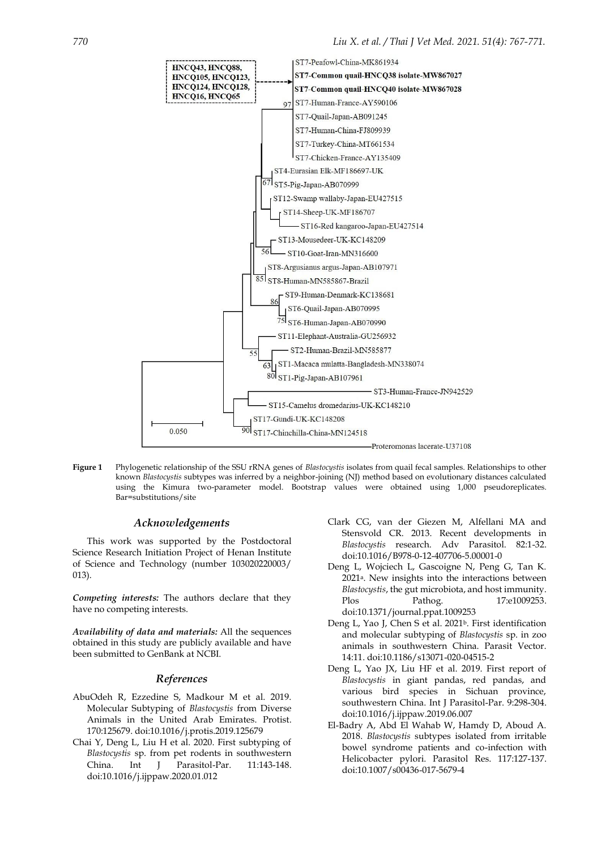

**Figure 1** Phylogenetic relationship of the SSU rRNA genes of *Blastocystis* isolates from quail fecal samples. Relationships to other known *Blastocystis* subtypes was inferred by a neighbor-joining (NJ) method based on evolutionary distances calculated using the Kimura two-parameter model. Bootstrap values were obtained using 1,000 pseudoreplicates. Bar=substitutions/site

#### *Acknowledgements*

This work was supported by the Postdoctoral Science Research Initiation Project of Henan Institute of Science and Technology (number 103020220003/ 013).

*Competing interests:* The authors declare that they have no competing interests.

*Availability of data and materials:* All the sequences obtained in this study are publicly available and have been submitted to GenBank at NCBI.

#### <span id="page-3-5"></span>*References*

- <span id="page-3-7"></span>AbuOdeh R, Ezzedine S, Madkour M et al. 2019. Molecular Subtyping of *Blastocystis* from Diverse Animals in the United Arab Emirates. Protist. 170:125679. doi:10.1016/j.protis.2019.125679
- Chai Y, Deng L, Liu H et al. 2020. First subtyping of *Blastocystis* sp. from pet rodents in southwestern China. Int J Parasitol-Par. 11:143-148. doi:10.1016/j.ijppaw.2020.01.012
- Clark CG, van der Giezen M, Alfellani MA and Stensvold CR. 2013. Recent developments in *Blastocystis* research. Adv Parasitol. 82:1-32. doi:10.1016/B978-0-12-407706-5.00001-0
- <span id="page-3-0"></span>Deng L, Wojciech L, Gascoigne N, Peng G, Tan K. 2021a. New insights into the interactions between *Blastocystis*, the gut microbiota, and host immunity. Plos Pathog. 17:e1009253. doi:10.1371/journal.ppat.1009253
- <span id="page-3-2"></span>Deng L, Yao J, Chen S et al. 2021<sup>b</sup>. First identification and molecular subtyping of *Blastocystis* sp. in zoo animals in southwestern China. Parasit Vector. 14:11. doi:10.1186/s13071-020-04515-2
- <span id="page-3-6"></span>Deng L, Yao JX, Liu HF et al. 2019. First report of *Blastocystis* in giant pandas, red pandas, and various bird species in Sichuan province, southwestern China. Int J Parasitol-Par. 9:298-304. doi:10.1016/j.ijppaw.2019.06.007
- <span id="page-3-4"></span><span id="page-3-3"></span><span id="page-3-1"></span>El-Badry A, Abd El Wahab W, Hamdy D, Aboud A. 2018. *Blastocystis* subtypes isolated from irritable bowel syndrome patients and co-infection with Helicobacter pylori. Parasitol Res. 117:127-137. doi:10.1007/s00436-017-5679-4